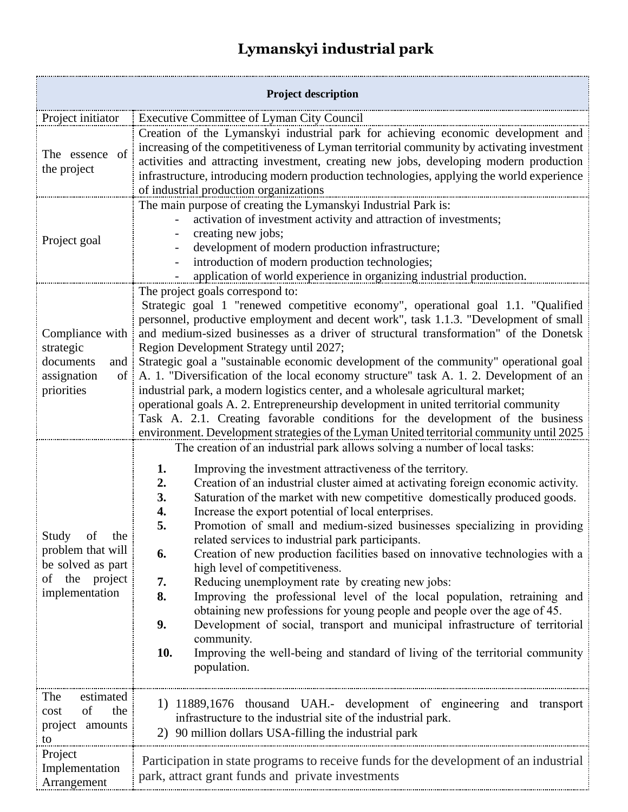## **Lymanskyi industrial park**

| <b>Project description</b>                                                                    |                                                                                                                                                                                                                                                                                                                                                                                                                                                                                                                                                                                                                                                                                                                                                                                                                                                                                                                                                                                                                                                                                             |  |
|-----------------------------------------------------------------------------------------------|---------------------------------------------------------------------------------------------------------------------------------------------------------------------------------------------------------------------------------------------------------------------------------------------------------------------------------------------------------------------------------------------------------------------------------------------------------------------------------------------------------------------------------------------------------------------------------------------------------------------------------------------------------------------------------------------------------------------------------------------------------------------------------------------------------------------------------------------------------------------------------------------------------------------------------------------------------------------------------------------------------------------------------------------------------------------------------------------|--|
| Project initiator                                                                             | Executive Committee of Lyman City Council                                                                                                                                                                                                                                                                                                                                                                                                                                                                                                                                                                                                                                                                                                                                                                                                                                                                                                                                                                                                                                                   |  |
| The essence of<br>the project                                                                 | Creation of the Lymanskyi industrial park for achieving economic development and<br>increasing of the competitiveness of Lyman territorial community by activating investment<br>activities and attracting investment, creating new jobs, developing modern production<br>infrastructure, introducing modern production technologies, applying the world experience<br>of industrial production organizations                                                                                                                                                                                                                                                                                                                                                                                                                                                                                                                                                                                                                                                                               |  |
| Project goal                                                                                  | The main purpose of creating the Lymanskyi Industrial Park is:<br>activation of investment activity and attraction of investments;<br>creating new jobs;<br>development of modern production infrastructure;<br>introduction of modern production technologies;<br>application of world experience in organizing industrial production.                                                                                                                                                                                                                                                                                                                                                                                                                                                                                                                                                                                                                                                                                                                                                     |  |
| Compliance with<br>strategic<br>documents<br>and<br>assignation<br>$\sigma$<br>priorities     | The project goals correspond to:<br>Strategic goal 1 "renewed competitive economy", operational goal 1.1. "Qualified<br>personnel, productive employment and decent work", task 1.1.3. "Development of small<br>and medium-sized businesses as a driver of structural transformation" of the Donetsk<br>Region Development Strategy until 2027;<br>Strategic goal a "sustainable economic development of the community" operational goal<br>A. 1. "Diversification of the local economy structure" task A. 1. 2. Development of an<br>industrial park, a modern logistics center, and a wholesale agricultural market;<br>operational goals A. 2. Entrepreneurship development in united territorial community<br>Task A. 2.1. Creating favorable conditions for the development of the business<br>environment. Development strategies of the Lyman United territorial community until 2025                                                                                                                                                                                                |  |
| Study of<br>the<br>problem that will<br>be solved as part<br>of the project<br>implementation | The creation of an industrial park allows solving a number of local tasks:<br>1.<br>Improving the investment attractiveness of the territory.<br>Creation of an industrial cluster aimed at activating foreign economic activity.<br>2.<br>Saturation of the market with new competitive domestically produced goods.<br>3.<br>Increase the export potential of local enterprises.<br>4.<br>Promotion of small and medium-sized businesses specializing in providing<br>5.<br>related services to industrial park participants.<br>Creation of new production facilities based on innovative technologies with a<br>6.<br>high level of competitiveness.<br>Reducing unemployment rate by creating new jobs:<br>7.<br>Improving the professional level of the local population, retraining and<br>8.<br>obtaining new professions for young people and people over the age of 45.<br>9.<br>Development of social, transport and municipal infrastructure of territorial<br>community.<br>Improving the well-being and standard of living of the territorial community<br>10.<br>population. |  |
| The<br>estimated<br>of<br>the<br>cost<br>project amounts<br>to                                | 1) 11889,1676 thousand UAH.- development of engineering and transport<br>infrastructure to the industrial site of the industrial park.<br>2) 90 million dollars USA-filling the industrial park                                                                                                                                                                                                                                                                                                                                                                                                                                                                                                                                                                                                                                                                                                                                                                                                                                                                                             |  |
| Project<br>Implementation<br>Arrangement                                                      | Participation in state programs to receive funds for the development of an industrial<br>park, attract grant funds and private investments                                                                                                                                                                                                                                                                                                                                                                                                                                                                                                                                                                                                                                                                                                                                                                                                                                                                                                                                                  |  |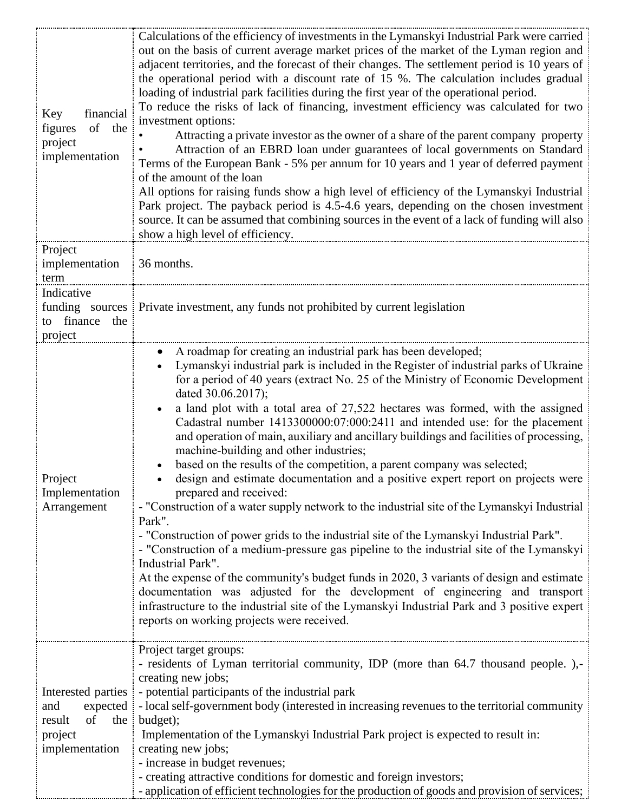| financial<br>Key<br>of<br>figures<br>the<br>project<br>implementation                | Calculations of the efficiency of investments in the Lymanskyi Industrial Park were carried<br>out on the basis of current average market prices of the market of the Lyman region and<br>adjacent territories, and the forecast of their changes. The settlement period is 10 years of<br>the operational period with a discount rate of 15 %. The calculation includes gradual<br>loading of industrial park facilities during the first year of the operational period.<br>To reduce the risks of lack of financing, investment efficiency was calculated for two<br>investment options:<br>Attracting a private investor as the owner of a share of the parent company property<br>Attraction of an EBRD loan under guarantees of local governments on Standard<br>Terms of the European Bank - 5% per annum for 10 years and 1 year of deferred payment<br>of the amount of the loan<br>All options for raising funds show a high level of efficiency of the Lymanskyi Industrial<br>Park project. The payback period is 4.5-4.6 years, depending on the chosen investment<br>source. It can be assumed that combining sources in the event of a lack of funding will also<br>show a high level of efficiency.                                                                                                                                                                                            |
|--------------------------------------------------------------------------------------|----------------------------------------------------------------------------------------------------------------------------------------------------------------------------------------------------------------------------------------------------------------------------------------------------------------------------------------------------------------------------------------------------------------------------------------------------------------------------------------------------------------------------------------------------------------------------------------------------------------------------------------------------------------------------------------------------------------------------------------------------------------------------------------------------------------------------------------------------------------------------------------------------------------------------------------------------------------------------------------------------------------------------------------------------------------------------------------------------------------------------------------------------------------------------------------------------------------------------------------------------------------------------------------------------------------------------------------------------------------------------------------------------------------|
| Project<br>implementation<br>term                                                    | 36 months.                                                                                                                                                                                                                                                                                                                                                                                                                                                                                                                                                                                                                                                                                                                                                                                                                                                                                                                                                                                                                                                                                                                                                                                                                                                                                                                                                                                                     |
| Indicative<br>to finance the<br>project                                              | funding sources Private investment, any funds not prohibited by current legislation                                                                                                                                                                                                                                                                                                                                                                                                                                                                                                                                                                                                                                                                                                                                                                                                                                                                                                                                                                                                                                                                                                                                                                                                                                                                                                                            |
| Project<br>Implementation<br>Arrangement                                             | A roadmap for creating an industrial park has been developed;<br>Lymanskyi industrial park is included in the Register of industrial parks of Ukraine<br>for a period of 40 years (extract No. 25 of the Ministry of Economic Development<br>dated 30.06.2017);<br>a land plot with a total area of 27,522 hectares was formed, with the assigned<br>Cadastral number 1413300000:07:000:2411 and intended use: for the placement<br>and operation of main, auxiliary and ancillary buildings and facilities of processing,<br>machine-building and other industries;<br>based on the results of the competition, a parent company was selected;<br>design and estimate documentation and a positive expert report on projects were<br>prepared and received:<br>- "Construction of a water supply network to the industrial site of the Lymanskyi Industrial<br>Park".<br>- "Construction of power grids to the industrial site of the Lymanskyi Industrial Park".<br>- "Construction of a medium-pressure gas pipeline to the industrial site of the Lymanskyi<br>Industrial Park".<br>At the expense of the community's budget funds in 2020, 3 variants of design and estimate<br>documentation was adjusted for the development of engineering and transport<br>infrastructure to the industrial site of the Lymanskyi Industrial Park and 3 positive expert<br>reports on working projects were received. |
| Interested parties i<br>and<br>expected<br>of<br>result<br>project<br>implementation | Project target groups:<br>- residents of Lyman territorial community, IDP (more than 64.7 thousand people.),-<br>creating new jobs;<br>- potential participants of the industrial park<br>- local self-government body (interested in increasing revenues to the territorial community<br>the $\downarrow$ budget);<br>Implementation of the Lymanskyi Industrial Park project is expected to result in:<br>creating new jobs;<br>- increase in budget revenues;<br>- creating attractive conditions for domestic and foreign investors;<br>- application of efficient technologies for the production of goods and provision of services;                                                                                                                                                                                                                                                                                                                                                                                                                                                                                                                                                                                                                                                                                                                                                                     |